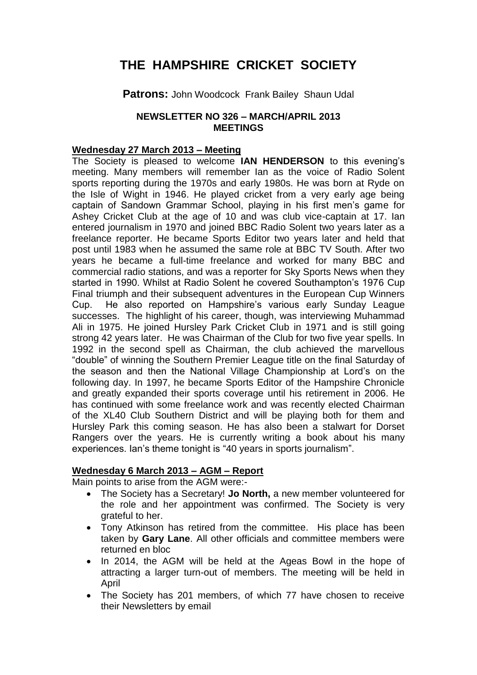# **THE HAMPSHIRE CRICKET SOCIETY**

# **Patrons:** John Woodcock Frank Bailey Shaun Udal

#### **NEWSLETTER NO 326 – MARCH/APRIL 2013 MEETINGS**

#### **Wednesday 27 March 2013 – Meeting**

The Society is pleased to welcome **IAN HENDERSON** to this evening's meeting. Many members will remember Ian as the voice of Radio Solent sports reporting during the 1970s and early 1980s. He was born at Ryde on the Isle of Wight in 1946. He played cricket from a very early age being captain of Sandown Grammar School, playing in his first men's game for Ashey Cricket Club at the age of 10 and was club vice-captain at 17. Ian entered journalism in 1970 and joined BBC Radio Solent two years later as a freelance reporter. He became Sports Editor two years later and held that post until 1983 when he assumed the same role at BBC TV South. After two years he became a full-time freelance and worked for many BBC and commercial radio stations, and was a reporter for Sky Sports News when they started in 1990. Whilst at Radio Solent he covered Southampton's 1976 Cup Final triumph and their subsequent adventures in the European Cup Winners Cup. He also reported on Hampshire's various early Sunday League successes. The highlight of his career, though, was interviewing Muhammad Ali in 1975. He joined Hursley Park Cricket Club in 1971 and is still going strong 42 years later. He was Chairman of the Club for two five year spells. In 1992 in the second spell as Chairman, the club achieved the marvellous "double" of winning the Southern Premier League title on the final Saturday of the season and then the National Village Championship at Lord's on the following day. In 1997, he became Sports Editor of the Hampshire Chronicle and greatly expanded their sports coverage until his retirement in 2006. He has continued with some freelance work and was recently elected Chairman of the XL40 Club Southern District and will be playing both for them and Hursley Park this coming season. He has also been a stalwart for Dorset Rangers over the years. He is currently writing a book about his many experiences. Ian's theme tonight is "40 years in sports journalism".

## **Wednesday 6 March 2013 – AGM – Report**

Main points to arise from the AGM were:-

- The Society has a Secretary! **Jo North,** a new member volunteered for the role and her appointment was confirmed. The Society is very grateful to her.
- Tony Atkinson has retired from the committee. His place has been taken by **Gary Lane**. All other officials and committee members were returned en bloc
- In 2014, the AGM will be held at the Ageas Bowl in the hope of attracting a larger turn-out of members. The meeting will be held in April
- The Society has 201 members, of which 77 have chosen to receive their Newsletters by email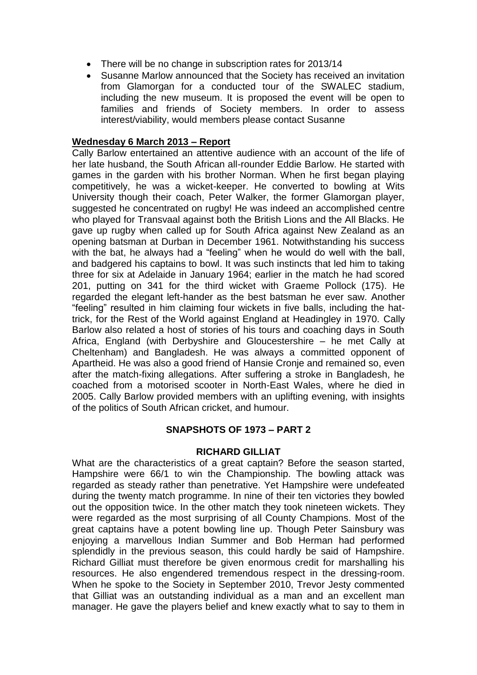- There will be no change in subscription rates for 2013/14
- Susanne Marlow announced that the Society has received an invitation from Glamorgan for a conducted tour of the SWALEC stadium, including the new museum. It is proposed the event will be open to families and friends of Society members. In order to assess interest/viability, would members please contact Susanne

#### **Wednesday 6 March 2013 – Report**

Cally Barlow entertained an attentive audience with an account of the life of her late husband, the South African all-rounder Eddie Barlow. He started with games in the garden with his brother Norman. When he first began playing competitively, he was a wicket-keeper. He converted to bowling at Wits University though their coach, Peter Walker, the former Glamorgan player, suggested he concentrated on rugby! He was indeed an accomplished centre who played for Transvaal against both the British Lions and the All Blacks. He gave up rugby when called up for South Africa against New Zealand as an opening batsman at Durban in December 1961. Notwithstanding his success with the bat, he always had a "feeling" when he would do well with the ball, and badgered his captains to bowl. It was such instincts that led him to taking three for six at Adelaide in January 1964; earlier in the match he had scored 201, putting on 341 for the third wicket with Graeme Pollock (175). He regarded the elegant left-hander as the best batsman he ever saw. Another "feeling" resulted in him claiming four wickets in five balls, including the hattrick, for the Rest of the World against England at Headingley in 1970. Cally Barlow also related a host of stories of his tours and coaching days in South Africa, England (with Derbyshire and Gloucestershire – he met Cally at Cheltenham) and Bangladesh. He was always a committed opponent of Apartheid. He was also a good friend of Hansie Cronje and remained so, even after the match-fixing allegations. After suffering a stroke in Bangladesh, he coached from a motorised scooter in North-East Wales, where he died in 2005. Cally Barlow provided members with an uplifting evening, with insights of the politics of South African cricket, and humour.

## **SNAPSHOTS OF 1973 – PART 2**

#### **RICHARD GILLIAT**

What are the characteristics of a great captain? Before the season started, Hampshire were 66/1 to win the Championship. The bowling attack was regarded as steady rather than penetrative. Yet Hampshire were undefeated during the twenty match programme. In nine of their ten victories they bowled out the opposition twice. In the other match they took nineteen wickets. They were regarded as the most surprising of all County Champions. Most of the great captains have a potent bowling line up. Though Peter Sainsbury was enjoying a marvellous Indian Summer and Bob Herman had performed splendidly in the previous season, this could hardly be said of Hampshire. Richard Gilliat must therefore be given enormous credit for marshalling his resources. He also engendered tremendous respect in the dressing-room. When he spoke to the Society in September 2010, Trevor Jesty commented that Gilliat was an outstanding individual as a man and an excellent man manager. He gave the players belief and knew exactly what to say to them in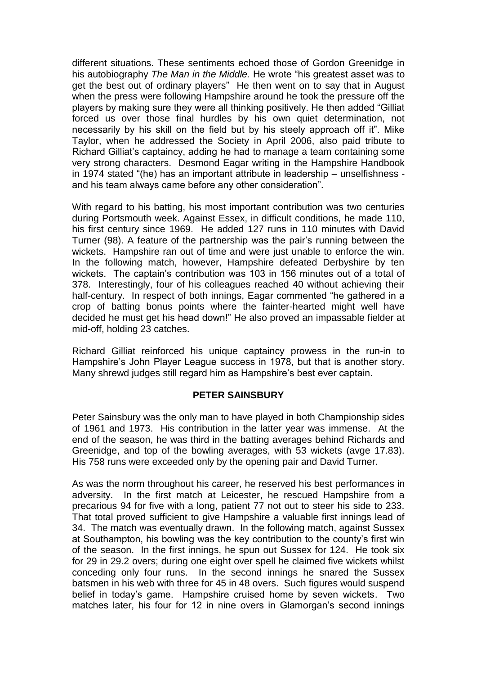different situations. These sentiments echoed those of Gordon Greenidge in his autobiography *The Man in the Middle.* He wrote "his greatest asset was to get the best out of ordinary players" He then went on to say that in August when the press were following Hampshire around he took the pressure off the players by making sure they were all thinking positively. He then added "Gilliat forced us over those final hurdles by his own quiet determination, not necessarily by his skill on the field but by his steely approach off it". Mike Taylor, when he addressed the Society in April 2006, also paid tribute to Richard Gilliat's captaincy, adding he had to manage a team containing some very strong characters. Desmond Eagar writing in the Hampshire Handbook in 1974 stated "(he) has an important attribute in leadership – unselfishness and his team always came before any other consideration".

With regard to his batting, his most important contribution was two centuries during Portsmouth week. Against Essex, in difficult conditions, he made 110, his first century since 1969. He added 127 runs in 110 minutes with David Turner (98). A feature of the partnership was the pair's running between the wickets. Hampshire ran out of time and were just unable to enforce the win. In the following match, however, Hampshire defeated Derbyshire by ten wickets. The captain's contribution was 103 in 156 minutes out of a total of 378. Interestingly, four of his colleagues reached 40 without achieving their half-century. In respect of both innings, Eagar commented "he gathered in a crop of batting bonus points where the fainter-hearted might well have decided he must get his head down!" He also proved an impassable fielder at mid-off, holding 23 catches.

Richard Gilliat reinforced his unique captaincy prowess in the run-in to Hampshire's John Player League success in 1978, but that is another story. Many shrewd judges still regard him as Hampshire's best ever captain.

## **PETER SAINSBURY**

Peter Sainsbury was the only man to have played in both Championship sides of 1961 and 1973. His contribution in the latter year was immense. At the end of the season, he was third in the batting averages behind Richards and Greenidge, and top of the bowling averages, with 53 wickets (avge 17.83). His 758 runs were exceeded only by the opening pair and David Turner.

As was the norm throughout his career, he reserved his best performances in adversity. In the first match at Leicester, he rescued Hampshire from a precarious 94 for five with a long, patient 77 not out to steer his side to 233. That total proved sufficient to give Hampshire a valuable first innings lead of 34. The match was eventually drawn. In the following match, against Sussex at Southampton, his bowling was the key contribution to the county's first win of the season. In the first innings, he spun out Sussex for 124. He took six for 29 in 29.2 overs; during one eight over spell he claimed five wickets whilst conceding only four runs. In the second innings he snared the Sussex batsmen in his web with three for 45 in 48 overs. Such figures would suspend belief in today's game. Hampshire cruised home by seven wickets. Two matches later, his four for 12 in nine overs in Glamorgan's second innings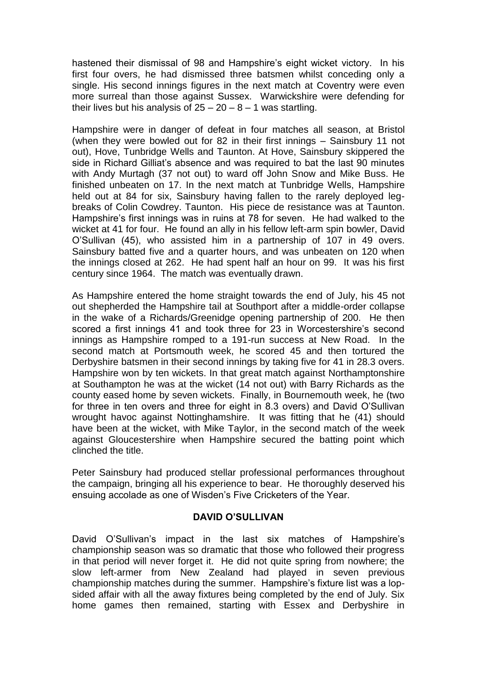hastened their dismissal of 98 and Hampshire's eight wicket victory. In his first four overs, he had dismissed three batsmen whilst conceding only a single. His second innings figures in the next match at Coventry were even more surreal than those against Sussex. Warwickshire were defending for their lives but his analysis of  $25 - 20 - 8 - 1$  was startling.

Hampshire were in danger of defeat in four matches all season, at Bristol (when they were bowled out for 82 in their first innings – Sainsbury 11 not out), Hove, Tunbridge Wells and Taunton. At Hove, Sainsbury skippered the side in Richard Gilliat's absence and was required to bat the last 90 minutes with Andy Murtagh (37 not out) to ward off John Snow and Mike Buss. He finished unbeaten on 17. In the next match at Tunbridge Wells, Hampshire held out at 84 for six, Sainsbury having fallen to the rarely deployed legbreaks of Colin Cowdrey. Taunton. His piece de resistance was at Taunton. Hampshire's first innings was in ruins at 78 for seven. He had walked to the wicket at 41 for four. He found an ally in his fellow left-arm spin bowler, David O'Sullivan (45), who assisted him in a partnership of 107 in 49 overs. Sainsbury batted five and a quarter hours, and was unbeaten on 120 when the innings closed at 262. He had spent half an hour on 99. It was his first century since 1964. The match was eventually drawn.

As Hampshire entered the home straight towards the end of July, his 45 not out shepherded the Hampshire tail at Southport after a middle-order collapse in the wake of a Richards/Greenidge opening partnership of 200. He then scored a first innings 41 and took three for 23 in Worcestershire's second innings as Hampshire romped to a 191-run success at New Road. In the second match at Portsmouth week, he scored 45 and then tortured the Derbyshire batsmen in their second innings by taking five for 41 in 28.3 overs. Hampshire won by ten wickets. In that great match against Northamptonshire at Southampton he was at the wicket (14 not out) with Barry Richards as the county eased home by seven wickets. Finally, in Bournemouth week, he (two for three in ten overs and three for eight in 8.3 overs) and David O'Sullivan wrought havoc against Nottinghamshire. It was fitting that he (41) should have been at the wicket, with Mike Taylor, in the second match of the week against Gloucestershire when Hampshire secured the batting point which clinched the title.

Peter Sainsbury had produced stellar professional performances throughout the campaign, bringing all his experience to bear. He thoroughly deserved his ensuing accolade as one of Wisden's Five Cricketers of the Year.

## **DAVID O'SULLIVAN**

David O'Sullivan's impact in the last six matches of Hampshire's championship season was so dramatic that those who followed their progress in that period will never forget it. He did not quite spring from nowhere; the slow left-armer from New Zealand had played in seven previous championship matches during the summer. Hampshire's fixture list was a lopsided affair with all the away fixtures being completed by the end of July. Six home games then remained, starting with Essex and Derbyshire in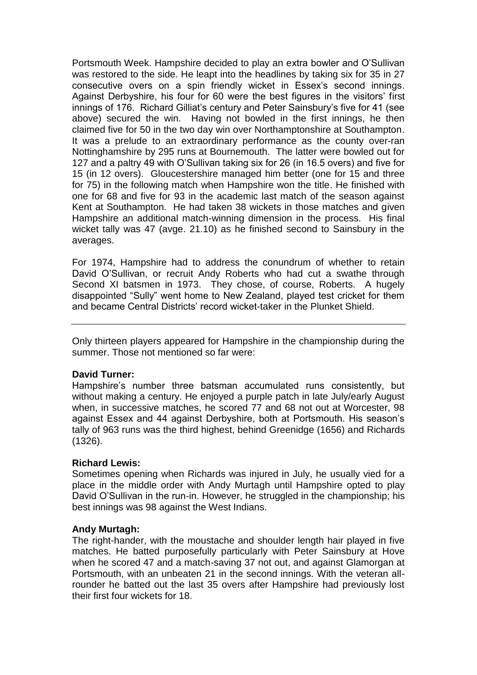Portsmouth Week. Hampshire decided to play an extra bowler and O'Sullivan was restored to the side. He leapt into the headlines by taking six for 35 in 27 consecutive overs on a spin friendly wicket in Essex's second innings. Against Derbyshire, his four for 60 were the best figures in the visitors' first innings of 176. Richard Gilliat's century and Peter Sainsbury's five for 41 (see above) secured the win. Having not bowled in the first innings, he then claimed five for 50 in the two day win over Northamptonshire at Southampton. It was a prelude to an extraordinary performance as the county over-ran Nottinghamshire by 295 runs at Bournemouth. The latter were bowled out for 127 and a paltry 49 with O'Sullivan taking six for 26 (in 16.5 overs) and five for 15 (in 12 overs). Gloucestershire managed him better (one for 15 and three for 75) in the following match when Hampshire won the title. He finished with one for 68 and five for 93 in the academic last match of the season against Kent at Southampton. He had taken 38 wickets in those matches and given Hampshire an additional match-winning dimension in the process. His final wicket tally was 47 (avge. 21.10) as he finished second to Sainsbury in the averages.

For 1974, Hampshire had to address the conundrum of whether to retain David O'Sullivan, or recruit Andy Roberts who had cut a swathe through Second XI batsmen in 1973. They chose, of course, Roberts. A hugely disappointed "Sully" went home to New Zealand, played test cricket for them and became Central Districts' record wicket-taker in the Plunket Shield.

Only thirteen players appeared for Hampshire in the championship during the summer. Those not mentioned so far were:

#### **David Turner:**

Hampshire's number three batsman accumulated runs consistently, but without making a century. He enjoyed a purple patch in late July/early August when, in successive matches, he scored 77 and 68 not out at Worcester, 98 against Essex and 44 against Derbyshire, both at Portsmouth. His season's tally of 963 runs was the third highest, behind Greenidge (1656) and Richards (1326).

## **Richard Lewis:**

Sometimes opening when Richards was injured in July, he usually vied for a place in the middle order with Andy Murtagh until Hampshire opted to play David O'Sullivan in the run-in. However, he struggled in the championship; his best innings was 98 against the West Indians.

#### **Andy Murtagh:**

The right-hander, with the moustache and shoulder length hair played in five matches. He batted purposefully particularly with Peter Sainsbury at Hove when he scored 47 and a match-saving 37 not out, and against Glamorgan at Portsmouth, with an unbeaten 21 in the second innings. With the veteran allrounder he batted out the last 35 overs after Hampshire had previously lost their first four wickets for 18.